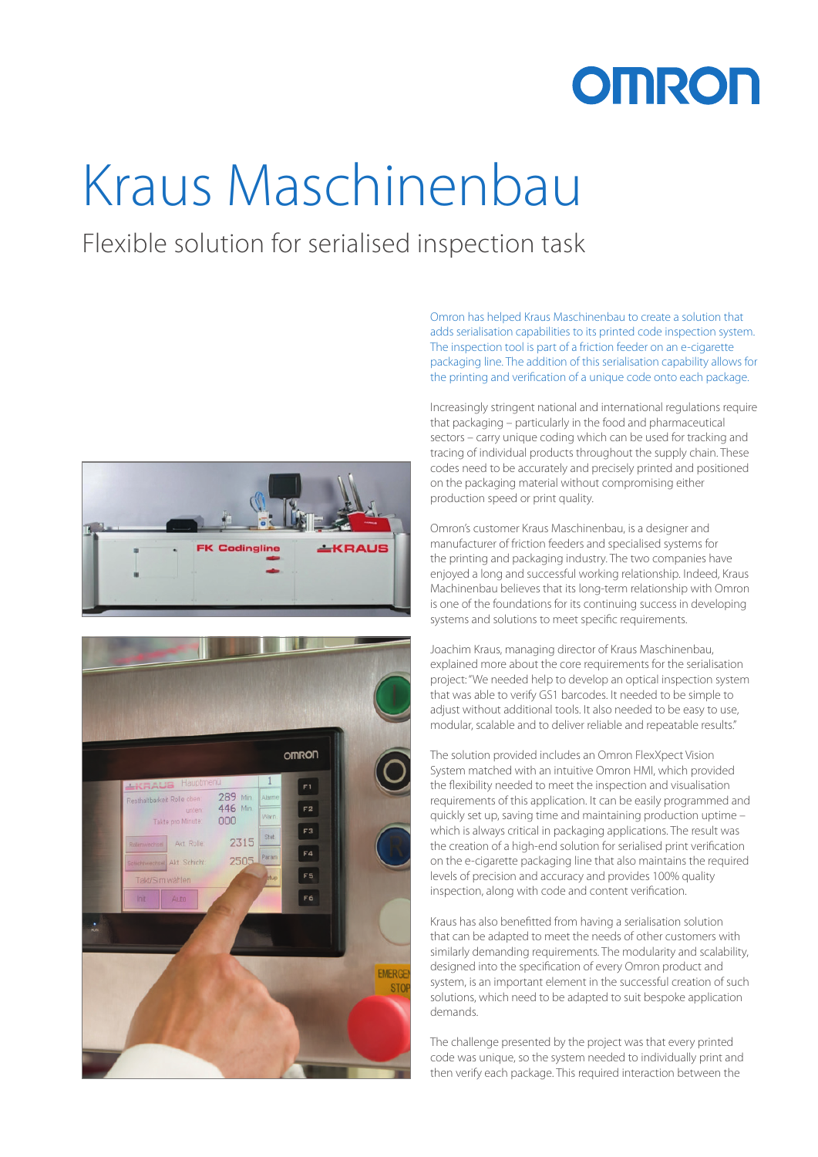## **OMRON**

# Kraus Maschinenbau

### Flexible solution for serialised inspection task





Omron has helped Kraus Maschinenbau to create a solution that adds serialisation capabilities to its printed code inspection system. The inspection tool is part of a friction feeder on an e-cigarette packaging line. The addition of this serialisation capability allows for the printing and verification of a unique code onto each package.

Increasingly stringent national and international regulations require that packaging – particularly in the food and pharmaceutical sectors – carry unique coding which can be used for tracking and tracing of individual products throughout the supply chain. These codes need to be accurately and precisely printed and positioned on the packaging material without compromising either production speed or print quality.

Omron's customer Kraus Maschinenbau, is a designer and manufacturer of friction feeders and specialised systems for the printing and packaging industry. The two companies have enjoyed a long and successful working relationship. Indeed, Kraus Machinenbau believes that its long-term relationship with Omron is one of the foundations for its continuing success in developing systems and solutions to meet specific requirements.

Joachim Kraus, managing director of Kraus Maschinenbau, explained more about the core requirements for the serialisation project: "We needed help to develop an optical inspection system that was able to verify GS1 barcodes. It needed to be simple to adjust without additional tools. It also needed to be easy to use, modular, scalable and to deliver reliable and repeatable results."

The solution provided includes an Omron FlexXpect Vision System matched with an intuitive Omron HMI, which provided the flexibility needed to meet the inspection and visualisation requirements of this application. It can be easily programmed and quickly set up, saving time and maintaining production uptime – which is always critical in packaging applications. The result was the creation of a high-end solution for serialised print verification on the e-cigarette packaging line that also maintains the required levels of precision and accuracy and provides 100% quality inspection, along with code and content verification.

Kraus has also benefitted from having a serialisation solution that can be adapted to meet the needs of other customers with similarly demanding requirements. The modularity and scalability, designed into the specification of every Omron product and system, is an important element in the successful creation of such solutions, which need to be adapted to suit bespoke application demands.

The challenge presented by the project was that every printed code was unique, so the system needed to individually print and then verify each package. This required interaction between the